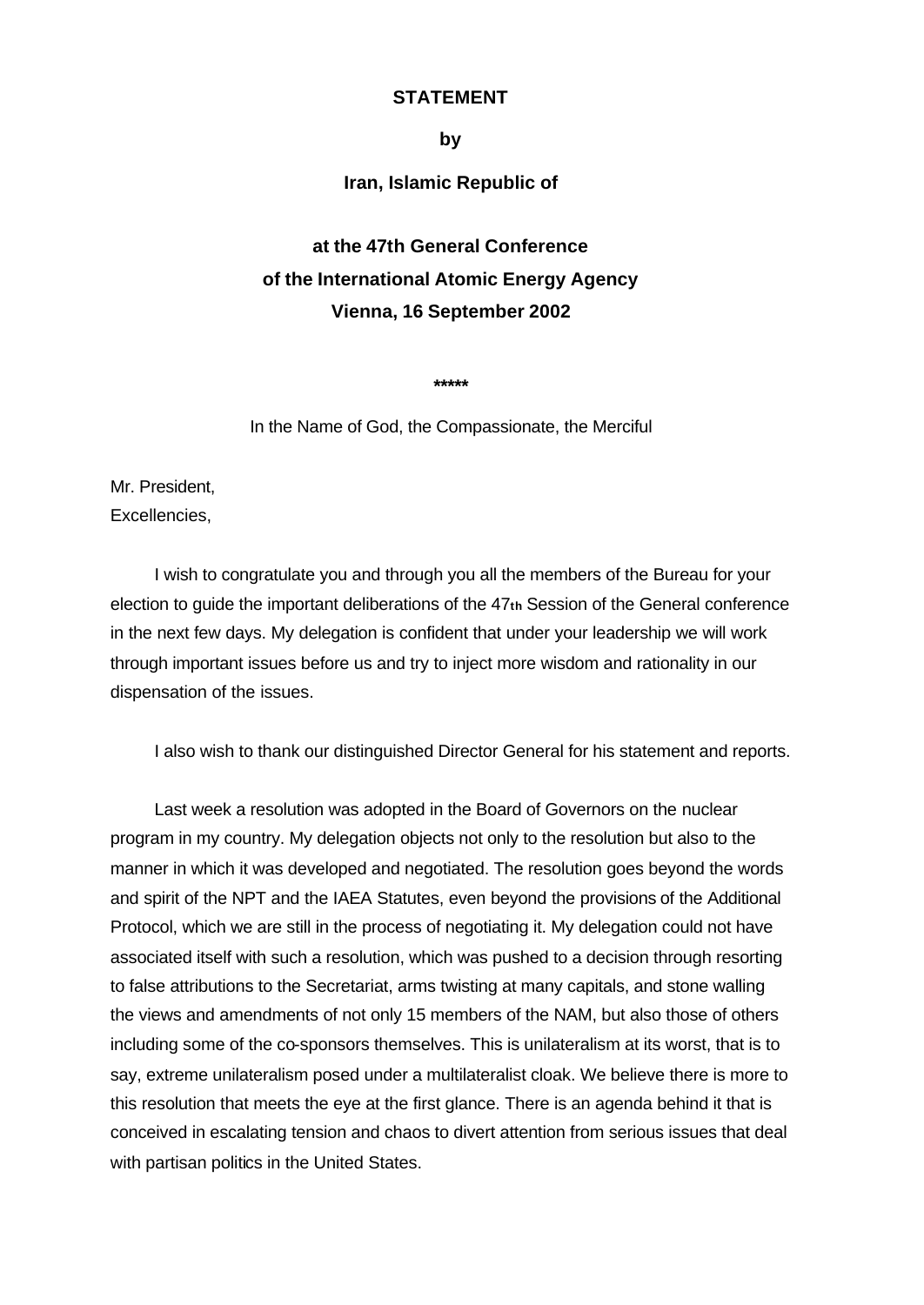## **STATEMENT**

#### **by**

# **Iran, Islamic Republic of**

# **at the 47th General Conference of the International Atomic Energy Agency Vienna, 16 September 2002**

**\*\*\*\*\***

In the Name of God, the Compassionate, the Merciful

Mr. President, Excellencies,

I wish to congratulate you and through you all the members of the Bureau for your election to guide the important deliberations of the 47**th** Session of the General conference in the next few days. My delegation is confident that under your leadership we will work through important issues before us and try to inject more wisdom and rationality in our dispensation of the issues.

I also wish to thank our distinguished Director General for his statement and reports.

Last week a resolution was adopted in the Board of Governors on the nuclear program in my country. My delegation objects not only to the resolution but also to the manner in which it was developed and negotiated. The resolution goes beyond the words and spirit of the NPT and the IAEA Statutes, even beyond the provisions of the Additional Protocol, which we are still in the process of negotiating it. My delegation could not have associated itself with such a resolution, which was pushed to a decision through resorting to false attributions to the Secretariat, arms twisting at many capitals, and stone walling the views and amendments of not only 15 members of the NAM, but also those of others including some of the co-sponsors themselves. This is unilateralism at its worst, that is to say, extreme unilateralism posed under a multilateralist cloak. We believe there is more to this resolution that meets the eye at the first glance. There is an agenda behind it that is conceived in escalating tension and chaos to divert attention from serious issues that deal with partisan politics in the United States.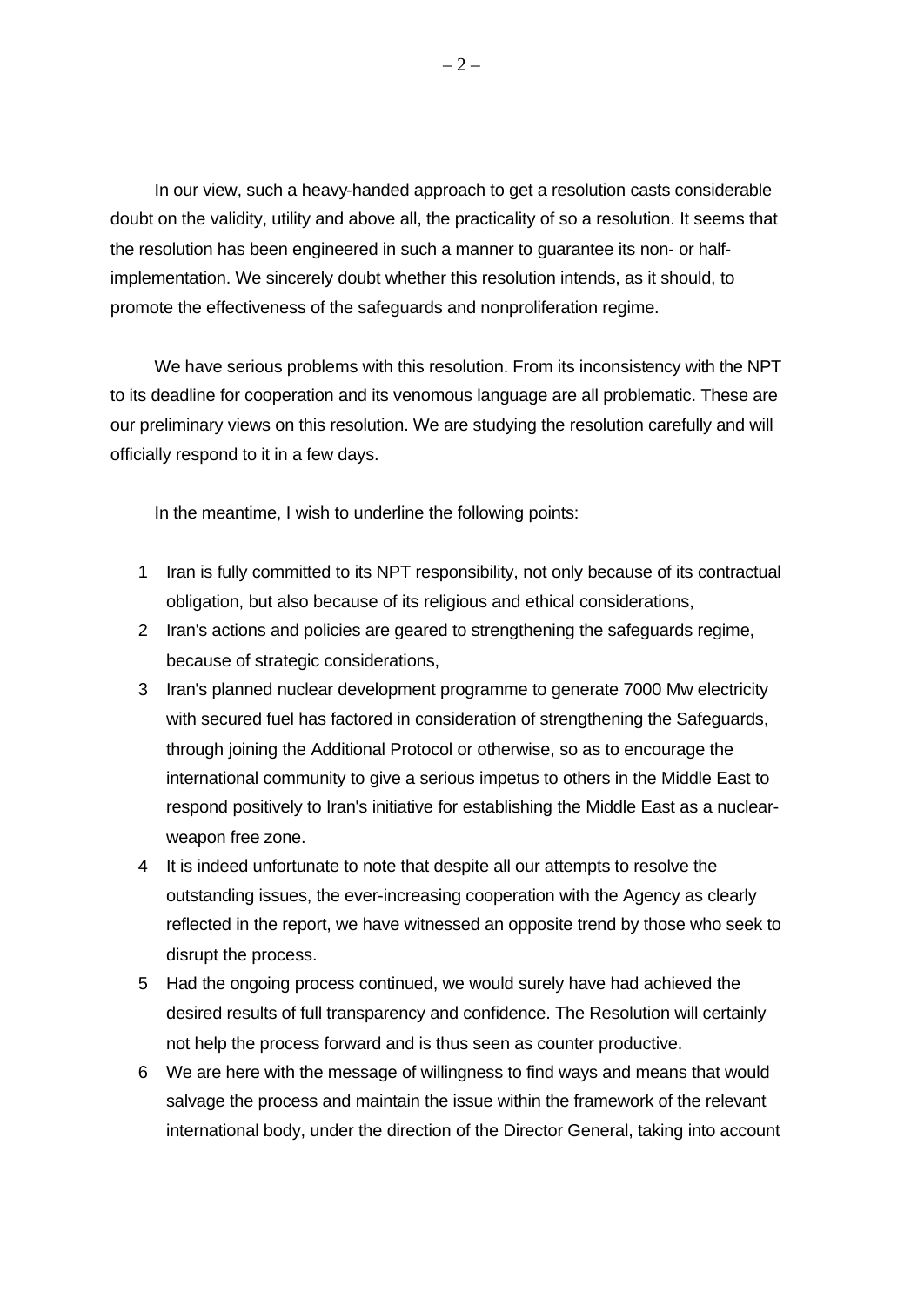In our view, such a heavy-handed approach to get a resolution casts considerable doubt on the validity, utility and above all, the practicality of so a resolution. It seems that the resolution has been engineered in such a manner to guarantee its non- or halfimplementation. We sincerely doubt whether this resolution intends, as it should, to promote the effectiveness of the safeguards and nonproliferation regime.

We have serious problems with this resolution. From its inconsistency with the NPT to its deadline for cooperation and its venomous language are all problematic. These are our preliminary views on this resolution. We are studying the resolution carefully and will officially respond to it in a few days.

In the meantime, I wish to underline the following points:

- 1 Iran is fully committed to its NPT responsibility, not only because of its contractual obligation, but also because of its religious and ethical considerations,
- 2 Iran's actions and policies are geared to strengthening the safeguards regime, because of strategic considerations,
- 3 Iran's planned nuclear development programme to generate 7000 Mw electricity with secured fuel has factored in consideration of strengthening the Safeguards, through joining the Additional Protocol or otherwise, so as to encourage the international community to give a serious impetus to others in the Middle East to respond positively to Iran's initiative for establishing the Middle East as a nuclearweapon free zone.
- 4 It is indeed unfortunate to note that despite all our attempts to resolve the outstanding issues, the ever-increasing cooperation with the Agency as clearly reflected in the report, we have witnessed an opposite trend by those who seek to disrupt the process.
- 5 Had the ongoing process continued, we would surely have had achieved the desired results of full transparency and confidence. The Resolution will certainly not help the process forward and is thus seen as counter productive.
- 6 We are here with the message of willingness to find ways and means that would salvage the process and maintain the issue within the framework of the relevant international body, under the direction of the Director General, taking into account